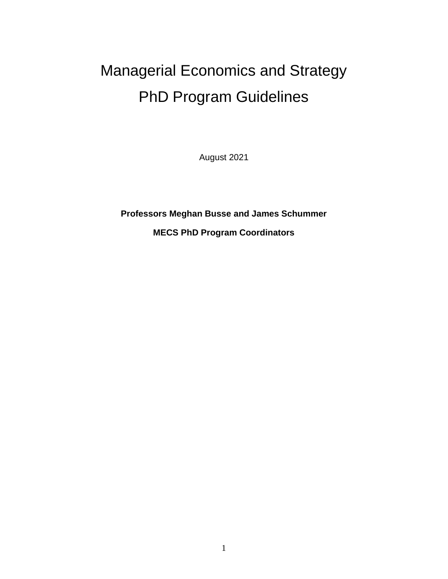# Managerial Economics and Strategy PhD Program Guidelines

August 2021

**Professors Meghan Busse and James Schummer**

**MECS PhD Program Coordinators**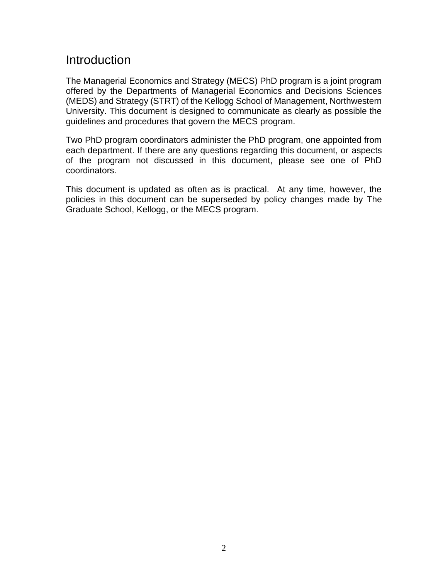# **Introduction**

The Managerial Economics and Strategy (MECS) PhD program is a joint program offered by the Departments of Managerial Economics and Decisions Sciences (MEDS) and Strategy (STRT) of the Kellogg School of Management, Northwestern University. This document is designed to communicate as clearly as possible the guidelines and procedures that govern the MECS program.

Two PhD program coordinators administer the PhD program, one appointed from each department. If there are any questions regarding this document, or aspects of the program not discussed in this document, please see one of PhD coordinators.

This document is updated as often as is practical. At any time, however, the policies in this document can be superseded by policy changes made by The Graduate School, Kellogg, or the MECS program.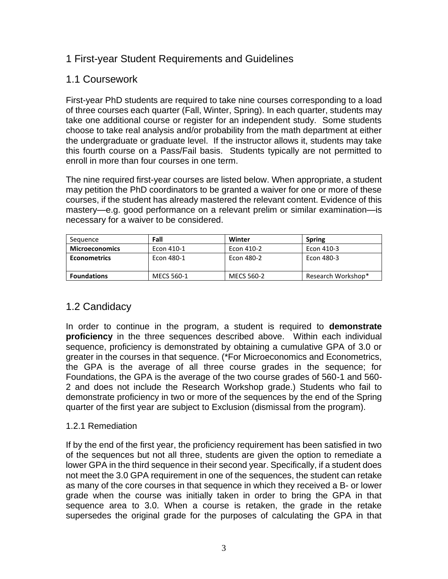# 1 First-year Student Requirements and Guidelines

#### 1.1 Coursework

First-year PhD students are required to take nine courses corresponding to a load of three courses each quarter (Fall, Winter, Spring). In each quarter, students may take one additional course or register for an independent study. Some students choose to take real analysis and/or probability from the math department at either the undergraduate or graduate level. If the instructor allows it, students may take this fourth course on a Pass/Fail basis. Students typically are not permitted to enroll in more than four courses in one term.

The nine required first-year courses are listed below. When appropriate, a student may petition the PhD coordinators to be granted a waiver for one or more of these courses, if the student has already mastered the relevant content. Evidence of this mastery—e.g. good performance on a relevant prelim or similar examination—is necessary for a waiver to be considered.

| Sequence              | Fall       | Winter     | <b>Spring</b>      |
|-----------------------|------------|------------|--------------------|
| <b>Microeconomics</b> | Econ 410-1 | Econ 410-2 | Econ 410-3         |
| <b>Econometrics</b>   | Econ 480-1 | Econ 480-2 | Econ 480-3         |
| <b>Foundations</b>    | MECS 560-1 | MECS 560-2 | Research Workshop* |

# 1.2 Candidacy

In order to continue in the program, a student is required to **demonstrate proficiency** in the three sequences described above. Within each individual sequence, proficiency is demonstrated by obtaining a cumulative GPA of 3.0 or greater in the courses in that sequence. (\*For Microeconomics and Econometrics, the GPA is the average of all three course grades in the sequence; for Foundations, the GPA is the average of the two course grades of 560-1 and 560- 2 and does not include the Research Workshop grade.) Students who fail to demonstrate proficiency in two or more of the sequences by the end of the Spring quarter of the first year are subject to Exclusion (dismissal from the program).

#### 1.2.1 Remediation

If by the end of the first year, the proficiency requirement has been satisfied in two of the sequences but not all three, students are given the option to remediate a lower GPA in the third sequence in their second year. Specifically, if a student does not meet the 3.0 GPA requirement in one of the sequences, the student can retake as many of the core courses in that sequence in which they received a B- or lower grade when the course was initially taken in order to bring the GPA in that sequence area to 3.0. When a course is retaken, the grade in the retake supersedes the original grade for the purposes of calculating the GPA in that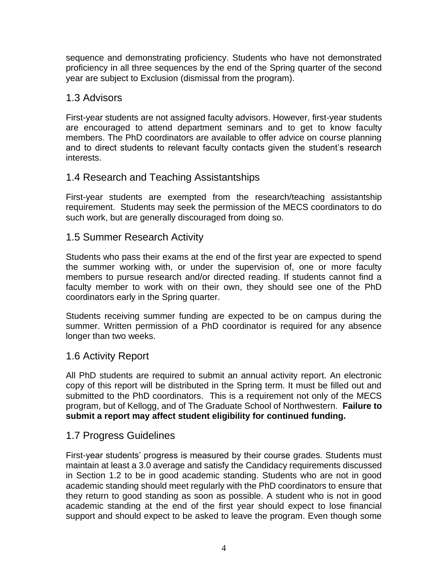sequence and demonstrating proficiency. Students who have not demonstrated proficiency in all three sequences by the end of the Spring quarter of the second year are subject to Exclusion (dismissal from the program).

#### 1.3 Advisors

First-year students are not assigned faculty advisors. However, first-year students are encouraged to attend department seminars and to get to know faculty members. The PhD coordinators are available to offer advice on course planning and to direct students to relevant faculty contacts given the student's research interests.

# 1.4 Research and Teaching Assistantships

First-year students are exempted from the research/teaching assistantship requirement. Students may seek the permission of the MECS coordinators to do such work, but are generally discouraged from doing so.

#### 1.5 Summer Research Activity

Students who pass their exams at the end of the first year are expected to spend the summer working with, or under the supervision of, one or more faculty members to pursue research and/or directed reading. If students cannot find a faculty member to work with on their own, they should see one of the PhD coordinators early in the Spring quarter.

Students receiving summer funding are expected to be on campus during the summer. Written permission of a PhD coordinator is required for any absence longer than two weeks.

#### 1.6 Activity Report

All PhD students are required to submit an annual activity report. An electronic copy of this report will be distributed in the Spring term. It must be filled out and submitted to the PhD coordinators. This is a requirement not only of the MECS program, but of Kellogg, and of The Graduate School of Northwestern. **Failure to submit a report may affect student eligibility for continued funding.** 

#### 1.7 Progress Guidelines

First-year students' progress is measured by their course grades. Students must maintain at least a 3.0 average and satisfy the Candidacy requirements discussed in Section 1.2 to be in good academic standing. Students who are not in good academic standing should meet regularly with the PhD coordinators to ensure that they return to good standing as soon as possible. A student who is not in good academic standing at the end of the first year should expect to lose financial support and should expect to be asked to leave the program. Even though some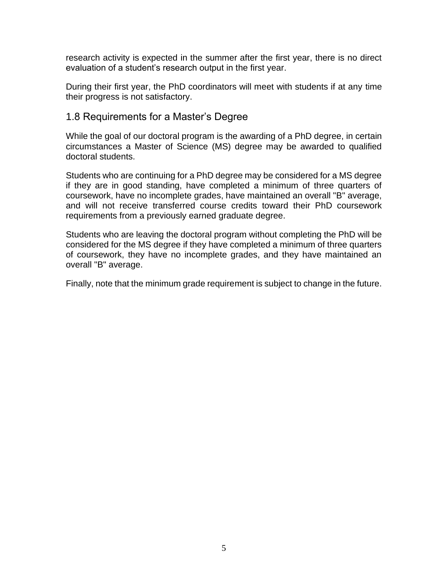research activity is expected in the summer after the first year, there is no direct evaluation of a student's research output in the first year.

During their first year, the PhD coordinators will meet with students if at any time their progress is not satisfactory.

#### 1.8 Requirements for a Master's Degree

While the goal of our doctoral program is the awarding of a PhD degree, in certain circumstances a Master of Science (MS) degree may be awarded to qualified doctoral students.

Students who are continuing for a PhD degree may be considered for a MS degree if they are in good standing, have completed a minimum of three quarters of coursework, have no incomplete grades, have maintained an overall "B" average, and will not receive transferred course credits toward their PhD coursework requirements from a previously earned graduate degree.

Students who are leaving the doctoral program without completing the PhD will be considered for the MS degree if they have completed a minimum of three quarters of coursework, they have no incomplete grades, and they have maintained an overall "B" average.

Finally, note that the minimum grade requirement is subject to change in the future.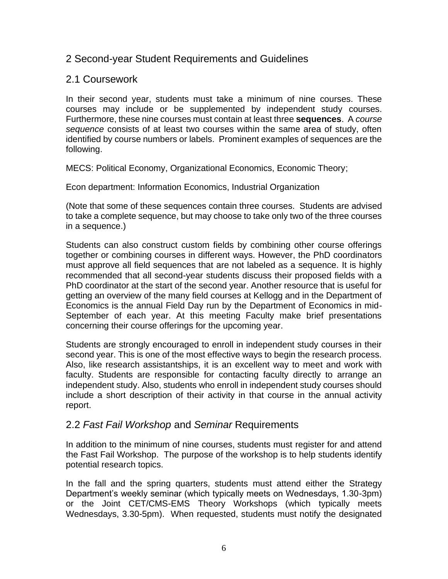#### 2 Second-year Student Requirements and Guidelines

#### 2.1 Coursework

In their second year, students must take a minimum of nine courses. These courses may include or be supplemented by independent study courses. Furthermore, these nine courses must contain at least three **sequences**. A *course sequence* consists of at least two courses within the same area of study, often identified by course numbers or labels. Prominent examples of sequences are the following.

MECS: Political Economy, Organizational Economics, Economic Theory;

Econ department: Information Economics, Industrial Organization

(Note that some of these sequences contain three courses. Students are advised to take a complete sequence, but may choose to take only two of the three courses in a sequence.)

Students can also construct custom fields by combining other course offerings together or combining courses in different ways. However, the PhD coordinators must approve all field sequences that are not labeled as a sequence. It is highly recommended that all second-year students discuss their proposed fields with a PhD coordinator at the start of the second year. Another resource that is useful for getting an overview of the many field courses at Kellogg and in the Department of Economics is the annual Field Day run by the Department of Economics in mid-September of each year. At this meeting Faculty make brief presentations concerning their course offerings for the upcoming year.

Students are strongly encouraged to enroll in independent study courses in their second year. This is one of the most effective ways to begin the research process. Also, like research assistantships, it is an excellent way to meet and work with faculty. Students are responsible for contacting faculty directly to arrange an independent study. Also, students who enroll in independent study courses should include a short description of their activity in that course in the annual activity report.

#### 2.2 *Fast Fail Workshop* and *Seminar* Requirements

In addition to the minimum of nine courses, students must register for and attend the Fast Fail Workshop. The purpose of the workshop is to help students identify potential research topics.

In the fall and the spring quarters, students must attend either the Strategy Department's weekly seminar (which typically meets on Wednesdays, 1.30-3pm) or the Joint CET/CMS-EMS Theory Workshops (which typically meets Wednesdays, 3.30-5pm). When requested, students must notify the designated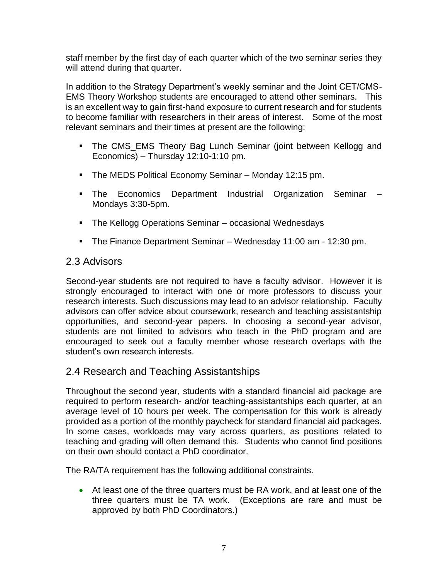staff member by the first day of each quarter which of the two seminar series they will attend during that quarter.

In addition to the Strategy Department's weekly seminar and the Joint CET/CMS-EMS Theory Workshop students are encouraged to attend other seminars. This is an excellent way to gain first-hand exposure to current research and for students to become familiar with researchers in their areas of interest. Some of the most relevant seminars and their times at present are the following:

- The CMS EMS Theory Bag Lunch Seminar (joint between Kellogg and Economics) – Thursday 12:10-1:10 pm.
- The MEDS Political Economy Seminar Monday 12:15 pm.
- The Economics Department Industrial Organization Seminar Mondays 3:30-5pm.
- The Kellogg Operations Seminar occasional Wednesdays
- The Finance Department Seminar Wednesday 11:00 am 12:30 pm.

#### 2.3 Advisors

Second-year students are not required to have a faculty advisor. However it is strongly encouraged to interact with one or more professors to discuss your research interests. Such discussions may lead to an advisor relationship. Faculty advisors can offer advice about coursework, research and teaching assistantship opportunities, and second-year papers. In choosing a second-year advisor, students are not limited to advisors who teach in the PhD program and are encouraged to seek out a faculty member whose research overlaps with the student's own research interests.

# 2.4 Research and Teaching Assistantships

Throughout the second year, students with a standard financial aid package are required to perform research- and/or teaching-assistantships each quarter, at an average level of 10 hours per week. The compensation for this work is already provided as a portion of the monthly paycheck for standard financial aid packages. In some cases, workloads may vary across quarters, as positions related to teaching and grading will often demand this. Students who cannot find positions on their own should contact a PhD coordinator.

The RA/TA requirement has the following additional constraints.

• At least one of the three quarters must be RA work, and at least one of the three quarters must be TA work. (Exceptions are rare and must be approved by both PhD Coordinators.)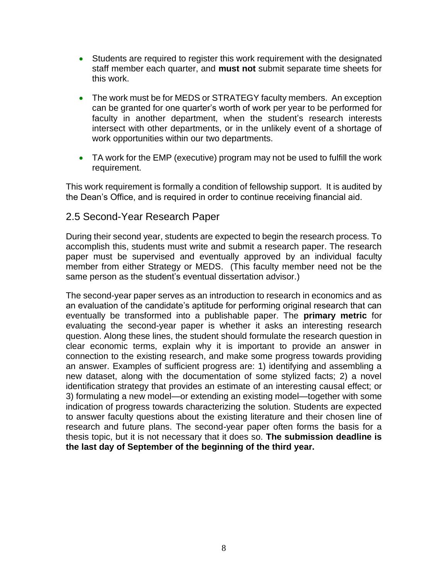- Students are required to register this work requirement with the designated staff member each quarter, and **must not** submit separate time sheets for this work.
- The work must be for MEDS or STRATEGY faculty members. An exception can be granted for one quarter's worth of work per year to be performed for faculty in another department, when the student's research interests intersect with other departments, or in the unlikely event of a shortage of work opportunities within our two departments.
- TA work for the EMP (executive) program may not be used to fulfill the work requirement.

This work requirement is formally a condition of fellowship support. It is audited by the Dean's Office, and is required in order to continue receiving financial aid.

#### 2.5 Second-Year Research Paper

During their second year, students are expected to begin the research process. To accomplish this, students must write and submit a research paper. The research paper must be supervised and eventually approved by an individual faculty member from either Strategy or MEDS. (This faculty member need not be the same person as the student's eventual dissertation advisor.)

The second-year paper serves as an introduction to research in economics and as an evaluation of the candidate's aptitude for performing original research that can eventually be transformed into a publishable paper. The **primary metric** for evaluating the second-year paper is whether it asks an interesting research question. Along these lines, the student should formulate the research question in clear economic terms, explain why it is important to provide an answer in connection to the existing research, and make some progress towards providing an answer. Examples of sufficient progress are: 1) identifying and assembling a new dataset, along with the documentation of some stylized facts; 2) a novel identification strategy that provides an estimate of an interesting causal effect; or 3) formulating a new model—or extending an existing model—together with some indication of progress towards characterizing the solution. Students are expected to answer faculty questions about the existing literature and their chosen line of research and future plans. The second-year paper often forms the basis for a thesis topic, but it is not necessary that it does so. **The submission deadline is the last day of September of the beginning of the third year.**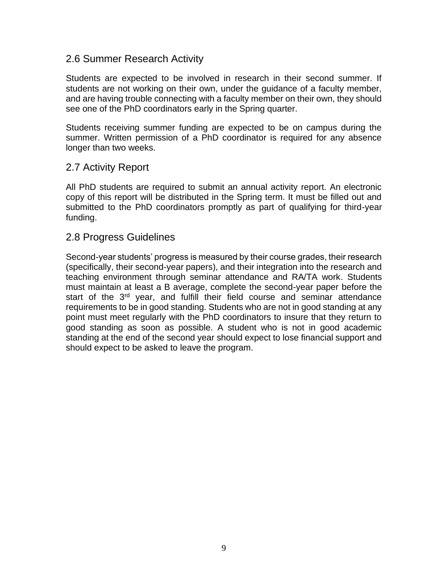#### 2.6 Summer Research Activity

Students are expected to be involved in research in their second summer. If students are not working on their own, under the guidance of a faculty member, and are having trouble connecting with a faculty member on their own, they should see one of the PhD coordinators early in the Spring quarter.

Students receiving summer funding are expected to be on campus during the summer. Written permission of a PhD coordinator is required for any absence longer than two weeks.

#### 2.7 Activity Report

All PhD students are required to submit an annual activity report. An electronic copy of this report will be distributed in the Spring term. It must be filled out and submitted to the PhD coordinators promptly as part of qualifying for third-year funding.

#### 2.8 Progress Guidelines

Second-year students' progress is measured by their course grades, their research (specifically, their second-year papers), and their integration into the research and teaching environment through seminar attendance and RA/TA work. Students must maintain at least a B average, complete the second-year paper before the start of the 3<sup>rd</sup> year, and fulfill their field course and seminar attendance requirements to be in good standing. Students who are not in good standing at any point must meet regularly with the PhD coordinators to insure that they return to good standing as soon as possible. A student who is not in good academic standing at the end of the second year should expect to lose financial support and should expect to be asked to leave the program.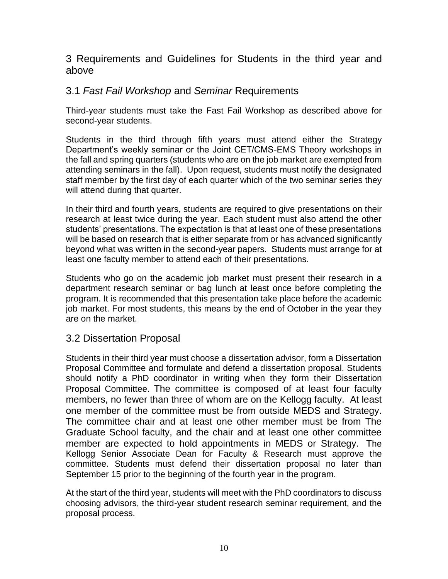3 Requirements and Guidelines for Students in the third year and above

## 3.1 *Fast Fail Workshop* and *Seminar* Requirements

Third-year students must take the Fast Fail Workshop as described above for second-year students.

Students in the third through fifth years must attend either the Strategy Department's weekly seminar or the Joint CET/CMS-EMS Theory workshops in the fall and spring quarters (students who are on the job market are exempted from attending seminars in the fall). Upon request, students must notify the designated staff member by the first day of each quarter which of the two seminar series they will attend during that quarter.

In their third and fourth years, students are required to give presentations on their research at least twice during the year. Each student must also attend the other students' presentations. The expectation is that at least one of these presentations will be based on research that is either separate from or has advanced significantly beyond what was written in the second-year papers. Students must arrange for at least one faculty member to attend each of their presentations.

Students who go on the academic job market must present their research in a department research seminar or bag lunch at least once before completing the program. It is recommended that this presentation take place before the academic job market. For most students, this means by the end of October in the year they are on the market.

#### 3.2 Dissertation Proposal

Students in their third year must choose a dissertation advisor, form a Dissertation Proposal Committee and formulate and defend a dissertation proposal. Students should notify a PhD coordinator in writing when they form their Dissertation Proposal Committee. The committee is composed of at least four faculty members, no fewer than three of whom are on the Kellogg faculty. At least one member of the committee must be from outside MEDS and Strategy. The committee chair and at least one other member must be from The Graduate School faculty, and the chair and at least one other committee member are expected to hold appointments in MEDS or Strategy. The Kellogg Senior Associate Dean for Faculty & Research must approve the committee. Students must defend their dissertation proposal no later than September 15 prior to the beginning of the fourth year in the program.

At the start of the third year, students will meet with the PhD coordinators to discuss choosing advisors, the third-year student research seminar requirement, and the proposal process.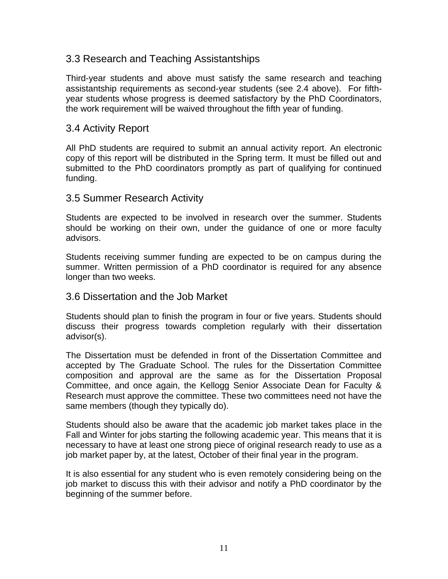#### 3.3 Research and Teaching Assistantships

Third-year students and above must satisfy the same research and teaching assistantship requirements as second-year students (see 2.4 above). For fifthyear students whose progress is deemed satisfactory by the PhD Coordinators, the work requirement will be waived throughout the fifth year of funding.

#### 3.4 Activity Report

All PhD students are required to submit an annual activity report. An electronic copy of this report will be distributed in the Spring term. It must be filled out and submitted to the PhD coordinators promptly as part of qualifying for continued funding.

#### 3.5 Summer Research Activity

Students are expected to be involved in research over the summer. Students should be working on their own, under the guidance of one or more faculty advisors.

Students receiving summer funding are expected to be on campus during the summer. Written permission of a PhD coordinator is required for any absence longer than two weeks.

#### 3.6 Dissertation and the Job Market

Students should plan to finish the program in four or five years. Students should discuss their progress towards completion regularly with their dissertation advisor(s).

The Dissertation must be defended in front of the Dissertation Committee and accepted by The Graduate School. The rules for the Dissertation Committee composition and approval are the same as for the Dissertation Proposal Committee, and once again, the Kellogg Senior Associate Dean for Faculty & Research must approve the committee. These two committees need not have the same members (though they typically do).

Students should also be aware that the academic job market takes place in the Fall and Winter for jobs starting the following academic year. This means that it is necessary to have at least one strong piece of original research ready to use as a job market paper by, at the latest, October of their final year in the program.

It is also essential for any student who is even remotely considering being on the job market to discuss this with their advisor and notify a PhD coordinator by the beginning of the summer before.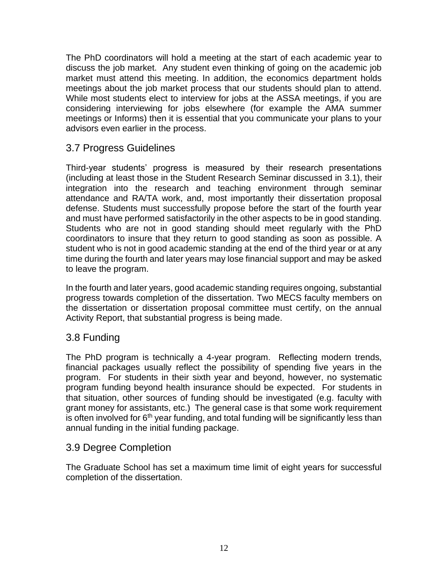The PhD coordinators will hold a meeting at the start of each academic year to discuss the job market. Any student even thinking of going on the academic job market must attend this meeting. In addition, the economics department holds meetings about the job market process that our students should plan to attend. While most students elect to interview for jobs at the ASSA meetings, if you are considering interviewing for jobs elsewhere (for example the AMA summer meetings or Informs) then it is essential that you communicate your plans to your advisors even earlier in the process.

# 3.7 Progress Guidelines

Third-year students' progress is measured by their research presentations (including at least those in the Student Research Seminar discussed in 3.1), their integration into the research and teaching environment through seminar attendance and RA/TA work, and, most importantly their dissertation proposal defense. Students must successfully propose before the start of the fourth year and must have performed satisfactorily in the other aspects to be in good standing. Students who are not in good standing should meet regularly with the PhD coordinators to insure that they return to good standing as soon as possible. A student who is not in good academic standing at the end of the third year or at any time during the fourth and later years may lose financial support and may be asked to leave the program.

In the fourth and later years, good academic standing requires ongoing, substantial progress towards completion of the dissertation. Two MECS faculty members on the dissertation or dissertation proposal committee must certify, on the annual Activity Report, that substantial progress is being made.

#### 3.8 Funding

The PhD program is technically a 4-year program. Reflecting modern trends, financial packages usually reflect the possibility of spending five years in the program. For students in their sixth year and beyond, however, no systematic program funding beyond health insurance should be expected. For students in that situation, other sources of funding should be investigated (e.g. faculty with grant money for assistants, etc.) The general case is that some work requirement is often involved for  $6<sup>th</sup>$  year funding, and total funding will be significantly less than annual funding in the initial funding package.

#### 3.9 Degree Completion

The Graduate School has set a maximum time limit of eight years for successful completion of the dissertation.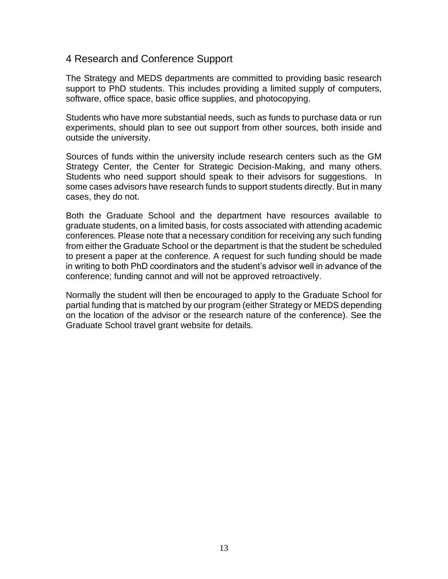#### 4 Research and Conference Support

The Strategy and MEDS departments are committed to providing basic research support to PhD students. This includes providing a limited supply of computers, software, office space, basic office supplies, and photocopying.

Students who have more substantial needs, such as funds to purchase data or run experiments, should plan to see out support from other sources, both inside and outside the university.

Sources of funds within the university include research centers such as the GM Strategy Center, the Center for Strategic Decision-Making, and many others. Students who need support should speak to their advisors for suggestions. In some cases advisors have research funds to support students directly. But in many cases, they do not.

Both the Graduate School and the department have resources available to graduate students, on a limited basis, for costs associated with attending academic conferences. Please note that a necessary condition for receiving any such funding from either the Graduate School or the department is that the student be scheduled to present a paper at the conference. A request for such funding should be made in writing to both PhD coordinators and the student's advisor well in advance of the conference; funding cannot and will not be approved retroactively.

Normally the student will then be encouraged to apply to the Graduate School for partial funding that is matched by our program (either Strategy or MEDS depending on the location of the advisor or the research nature of the conference). See the Graduate School travel grant website for details.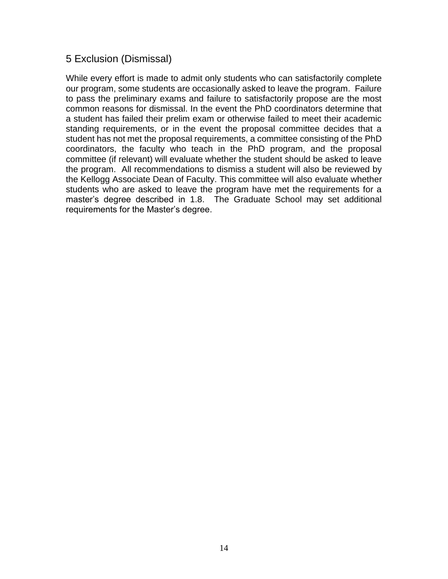## 5 Exclusion (Dismissal)

While every effort is made to admit only students who can satisfactorily complete our program, some students are occasionally asked to leave the program. Failure to pass the preliminary exams and failure to satisfactorily propose are the most common reasons for dismissal. In the event the PhD coordinators determine that a student has failed their prelim exam or otherwise failed to meet their academic standing requirements, or in the event the proposal committee decides that a student has not met the proposal requirements, a committee consisting of the PhD coordinators, the faculty who teach in the PhD program, and the proposal committee (if relevant) will evaluate whether the student should be asked to leave the program. All recommendations to dismiss a student will also be reviewed by the Kellogg Associate Dean of Faculty. This committee will also evaluate whether students who are asked to leave the program have met the requirements for a master's degree described in 1.8. The Graduate School may set additional requirements for the Master's degree.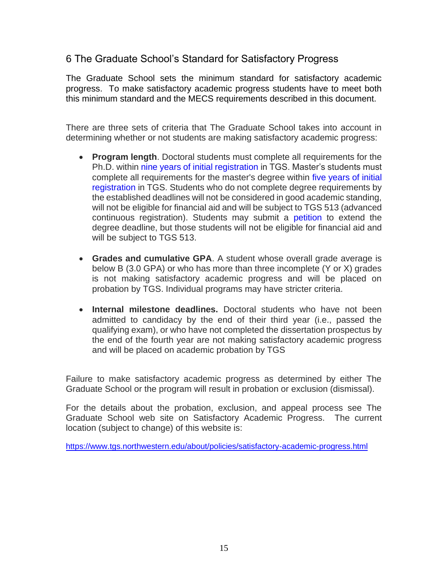# 6 The Graduate School's Standard for Satisfactory Progress

The Graduate School sets the minimum standard for satisfactory academic progress. To make satisfactory academic progress students have to meet both this minimum standard and the MECS requirements described in this document.

There are three sets of criteria that The Graduate School takes into account in determining whether or not students are making satisfactory academic progress:

- **Program length**. Doctoral students must complete all requirements for the Ph.D. within [nine years of initial registration](http://www.tgs.northwestern.edu/academics/academic-services/phd/timeline/index.html) in TGS. Master's students must complete all requirements for the master's degree within [five years of initial](http://www.tgs.northwestern.edu/academics/academic-services/masters/timeline/index.html)  [registration](http://www.tgs.northwestern.edu/academics/academic-services/masters/timeline/index.html) in TGS. Students who do not complete degree requirements by the established deadlines will not be considered in good academic standing, will not be eligible for financial aid and will be subject to TGS 513 (advanced continuous registration). Students may submit a [petition](http://www.tgs.northwestern.edu/documents/academic-services/Petition.pdf) to extend the degree deadline, but those students will not be eligible for financial aid and will be subject to TGS 513.
- **Grades and cumulative GPA**. A student whose overall grade average is below B (3.0 GPA) or who has more than three incomplete (Y or X) grades is not making satisfactory academic progress and will be placed on probation by TGS. Individual programs may have stricter criteria.
- **Internal milestone deadlines.** Doctoral students who have not been admitted to candidacy by the end of their third year (i.e., passed the qualifying exam), or who have not completed the dissertation prospectus by the end of the fourth year are not making satisfactory academic progress and will be placed on academic probation by TGS

Failure to make satisfactory academic progress as determined by either The Graduate School or the program will result in probation or exclusion (dismissal).

For the details about the probation, exclusion, and appeal process see The Graduate School web site on Satisfactory Academic Progress. The current location (subject to change) of this website is:

<https://www.tgs.northwestern.edu/about/policies/satisfactory-academic-progress.html>